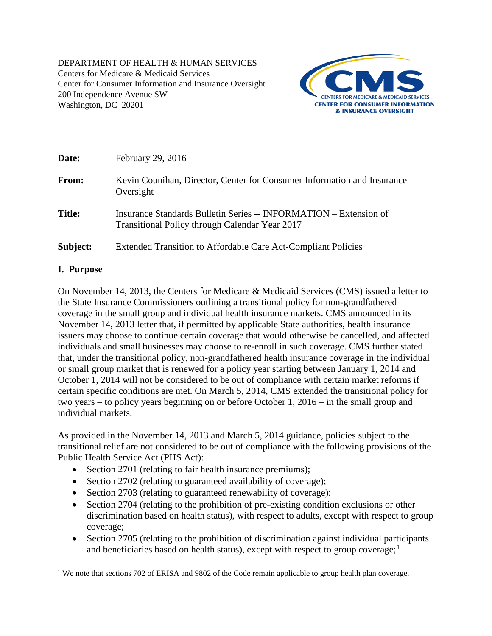DEPARTMENT OF HEALTH & HUMAN SERVICES Centers for Medicare & Medicaid Services Center for Consumer Information and Insurance Oversight 200 Independence Avenue SW Washington, DC 20201



| Date:         | February 29, 2016                                                                                                   |
|---------------|---------------------------------------------------------------------------------------------------------------------|
| From:         | Kevin Counihan, Director, Center for Consumer Information and Insurance<br>Oversight                                |
| <b>Title:</b> | Insurance Standards Bulletin Series -- INFORMATION – Extension of<br>Transitional Policy through Calendar Year 2017 |
| Subject:      | Extended Transition to Affordable Care Act-Compliant Policies                                                       |

### **I. Purpose**

On November 14, 2013, the Centers for Medicare & Medicaid Services (CMS) issued a letter to the State Insurance Commissioners outlining a transitional policy for non-grandfathered coverage in the small group and individual health insurance markets. CMS announced in its November 14, 2013 letter that, if permitted by applicable State authorities, health insurance issuers may choose to continue certain coverage that would otherwise be cancelled, and affected individuals and small businesses may choose to re-enroll in such coverage. CMS further stated that, under the transitional policy, non-grandfathered health insurance coverage in the individual or small group market that is renewed for a policy year starting between January 1, 2014 and October 1, 2014 will not be considered to be out of compliance with certain market reforms if certain specific conditions are met. On March 5, 2014, CMS extended the transitional policy for two years – to policy years beginning on or before October 1, 2016 – in the small group and individual markets.

As provided in the November 14, 2013 and March 5, 2014 guidance, policies subject to the transitional relief are not considered to be out of compliance with the following provisions of the Public Health Service Act (PHS Act):

- Section 2701 (relating to fair health insurance premiums);
- Section 2702 (relating to guaranteed availability of coverage);
- Section 2703 (relating to guaranteed renewability of coverage);
- Section 2704 (relating to the prohibition of pre-existing condition exclusions or other discrimination based on health status), with respect to adults, except with respect to group coverage;
- Section 2705 (relating to the prohibition of discrimination against individual participants and beneficiaries based on health status), except with respect to group coverage; $<sup>1</sup>$  $<sup>1</sup>$  $<sup>1</sup>$ </sup>

<span id="page-0-0"></span><sup>&</sup>lt;sup>1</sup> We note that sections 702 of ERISA and 9802 of the Code remain applicable to group health plan coverage.  $\overline{a}$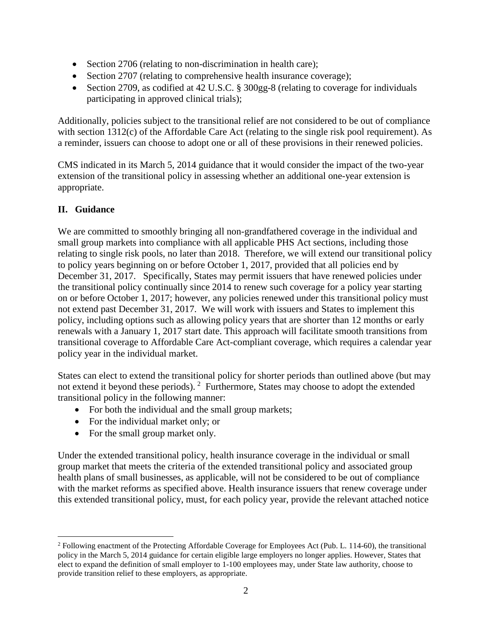- Section 2706 (relating to non-discrimination in health care);
- Section 2707 (relating to comprehensive health insurance coverage);
- Section 2709, as codified at 42 U.S.C. § 300gg-8 (relating to coverage for individuals participating in approved clinical trials);

Additionally, policies subject to the transitional relief are not considered to be out of compliance with section 1312(c) of the Affordable Care Act (relating to the single risk pool requirement). As a reminder, issuers can choose to adopt one or all of these provisions in their renewed policies.

CMS indicated in its March 5, 2014 guidance that it would consider the impact of the two-year extension of the transitional policy in assessing whether an additional one-year extension is appropriate.

# **II. Guidance**

We are committed to smoothly bringing all non-grandfathered coverage in the individual and small group markets into compliance with all applicable PHS Act sections, including those relating to single risk pools, no later than 2018. Therefore, we will extend our transitional policy to policy years beginning on or before October 1, 2017, provided that all policies end by December 31, 2017. Specifically, States may permit issuers that have renewed policies under the transitional policy continually since 2014 to renew such coverage for a policy year starting on or before October 1, 2017; however, any policies renewed under this transitional policy must not extend past December 31, 2017. We will work with issuers and States to implement this policy, including options such as allowing policy years that are shorter than 12 months or early renewals with a January 1, 2017 start date. This approach will facilitate smooth transitions from transitional coverage to Affordable Care Act-compliant coverage, which requires a calendar year policy year in the individual market.

States can elect to extend the transitional policy for shorter periods than outlined above (but may not extend it beyond these periods). <sup>[2](#page-1-0)</sup> Furthermore, States may choose to adopt the extended transitional policy in the following manner:

- For both the individual and the small group markets;
- For the individual market only; or
- For the small group market only.

Under the extended transitional policy, health insurance coverage in the individual or small group market that meets the criteria of the extended transitional policy and associated group health plans of small businesses, as applicable, will not be considered to be out of compliance with the market reforms as specified above. Health insurance issuers that renew coverage under this extended transitional policy, must, for each policy year, provide the relevant attached notice

<span id="page-1-0"></span><sup>&</sup>lt;sup>2</sup> Following enactment of the Protecting Affordable Coverage for Employees Act (Pub. L. 114-60), the transitional policy in the March 5, 2014 guidance for certain eligible large employers no longer applies. However, States that elect to expand the definition of small employer to 1-100 employees may, under State law authority, choose to provide transition relief to these employers, as appropriate.  $\overline{a}$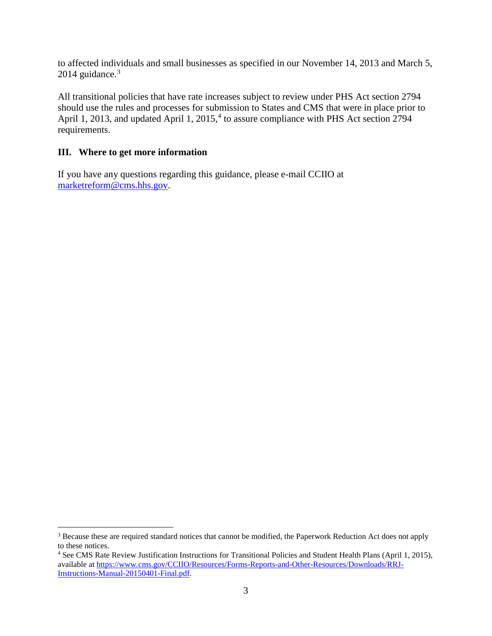to affected individuals and small businesses as specified in our November 14, 2013 and March 5,  $2014$  guidance.<sup>[3](#page-2-0)</sup>

All transitional policies that have rate increases subject to review under PHS Act section 2794 should use the rules and processes for submission to States and CMS that were in place prior to April 1, 2013, and updated April 1, 2015,<sup>[4](#page-2-1)</sup> to assure compliance with PHS Act section 2794 requirements.

# **III. Where to get more information**

If you have any questions regarding this guidance, please e-mail CCIIO at [marketreform@cms.hhs.gov.](mailto:marketreform@cms.hhs.gov)

<span id="page-2-0"></span><sup>&</sup>lt;sup>3</sup> Because these are required standard notices that cannot be modified, the Paperwork Reduction Act does not apply to these notices.  $\overline{a}$ 

<span id="page-2-1"></span><sup>4</sup> See CMS Rate Review Justification Instructions for Transitional Policies and Student Health Plans (April 1, 2015), available at [https://www.cms.gov/CCIIO/Resources/Forms-Reports-and-Other-Resources/Downloads/RRJ-](https://www.cms.gov/CCIIO/Resources/Forms-Reports-and-Other-Resources/Downloads/RRJ-Instructions-Manual-20150401-Final.pdf)[Instructions-Manual-20150401-Final.pdf.](https://www.cms.gov/CCIIO/Resources/Forms-Reports-and-Other-Resources/Downloads/RRJ-Instructions-Manual-20150401-Final.pdf)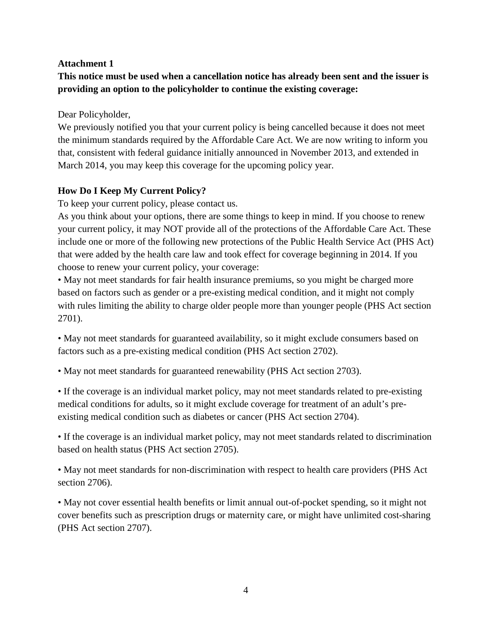## **Attachment 1**

**This notice must be used when a cancellation notice has already been sent and the issuer is providing an option to the policyholder to continue the existing coverage:** 

Dear Policyholder,

We previously notified you that your current policy is being cancelled because it does not meet the minimum standards required by the Affordable Care Act. We are now writing to inform you that, consistent with federal guidance initially announced in November 2013, and extended in March 2014, you may keep this coverage for the upcoming policy year.

## **How Do I Keep My Current Policy?**

To keep your current policy, please contact us.

As you think about your options, there are some things to keep in mind. If you choose to renew your current policy, it may NOT provide all of the protections of the Affordable Care Act. These include one or more of the following new protections of the Public Health Service Act (PHS Act) that were added by the health care law and took effect for coverage beginning in 2014. If you choose to renew your current policy, your coverage:

• May not meet standards for fair health insurance premiums, so you might be charged more based on factors such as gender or a pre-existing medical condition, and it might not comply with rules limiting the ability to charge older people more than younger people (PHS Act section 2701).

• May not meet standards for guaranteed availability, so it might exclude consumers based on factors such as a pre-existing medical condition (PHS Act section 2702).

• May not meet standards for guaranteed renewability (PHS Act section 2703).

• If the coverage is an individual market policy, may not meet standards related to pre-existing medical conditions for adults, so it might exclude coverage for treatment of an adult's preexisting medical condition such as diabetes or cancer (PHS Act section 2704).

• If the coverage is an individual market policy, may not meet standards related to discrimination based on health status (PHS Act section 2705).

• May not meet standards for non-discrimination with respect to health care providers (PHS Act section 2706).

• May not cover essential health benefits or limit annual out-of-pocket spending, so it might not cover benefits such as prescription drugs or maternity care, or might have unlimited cost-sharing (PHS Act section 2707).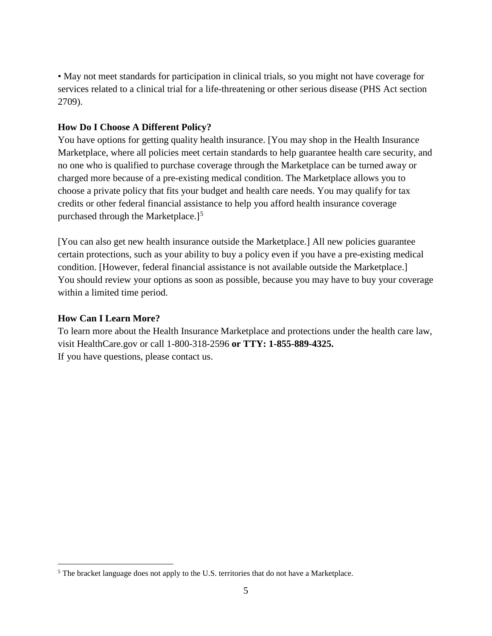• May not meet standards for participation in clinical trials, so you might not have coverage for services related to a clinical trial for a life-threatening or other serious disease (PHS Act section 2709).

### **How Do I Choose A Different Policy?**

You have options for getting quality health insurance. [You may shop in the Health Insurance Marketplace, where all policies meet certain standards to help guarantee health care security, and no one who is qualified to purchase coverage through the Marketplace can be turned away or charged more because of a pre-existing medical condition. The Marketplace allows you to choose a private policy that fits your budget and health care needs. You may qualify for tax credits or other federal financial assistance to help you afford health insurance coverage purchased through the Marketplace.]<sup>[5](#page-4-0)</sup>

[You can also get new health insurance outside the Marketplace.] All new policies guarantee certain protections, such as your ability to buy a policy even if you have a pre-existing medical condition. [However, federal financial assistance is not available outside the Marketplace.] You should review your options as soon as possible, because you may have to buy your coverage within a limited time period.

#### **How Can I Learn More?**

 $\overline{a}$ 

To learn more about the Health Insurance Marketplace and protections under the health care law, visit HealthCare.gov or call 1-800-318-2596 **or TTY: 1-855-889-4325.**  If you have questions, please contact us.

<span id="page-4-0"></span><sup>&</sup>lt;sup>5</sup> The bracket language does not apply to the U.S. territories that do not have a Marketplace.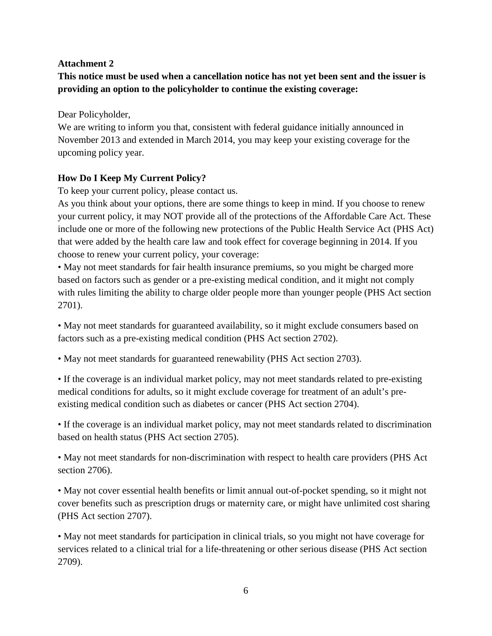## **Attachment 2**

**This notice must be used when a cancellation notice has not yet been sent and the issuer is providing an option to the policyholder to continue the existing coverage:** 

Dear Policyholder,

We are writing to inform you that, consistent with federal guidance initially announced in November 2013 and extended in March 2014, you may keep your existing coverage for the upcoming policy year.

# **How Do I Keep My Current Policy?**

To keep your current policy, please contact us.

As you think about your options, there are some things to keep in mind. If you choose to renew your current policy, it may NOT provide all of the protections of the Affordable Care Act. These include one or more of the following new protections of the Public Health Service Act (PHS Act) that were added by the health care law and took effect for coverage beginning in 2014. If you choose to renew your current policy, your coverage:

• May not meet standards for fair health insurance premiums, so you might be charged more based on factors such as gender or a pre-existing medical condition, and it might not comply with rules limiting the ability to charge older people more than younger people (PHS Act section 2701).

• May not meet standards for guaranteed availability, so it might exclude consumers based on factors such as a pre-existing medical condition (PHS Act section 2702).

• May not meet standards for guaranteed renewability (PHS Act section 2703).

• If the coverage is an individual market policy, may not meet standards related to pre-existing medical conditions for adults, so it might exclude coverage for treatment of an adult's preexisting medical condition such as diabetes or cancer (PHS Act section 2704).

• If the coverage is an individual market policy, may not meet standards related to discrimination based on health status (PHS Act section 2705).

• May not meet standards for non-discrimination with respect to health care providers (PHS Act section 2706).

• May not cover essential health benefits or limit annual out-of-pocket spending, so it might not cover benefits such as prescription drugs or maternity care, or might have unlimited cost sharing (PHS Act section 2707).

• May not meet standards for participation in clinical trials, so you might not have coverage for services related to a clinical trial for a life-threatening or other serious disease (PHS Act section 2709).